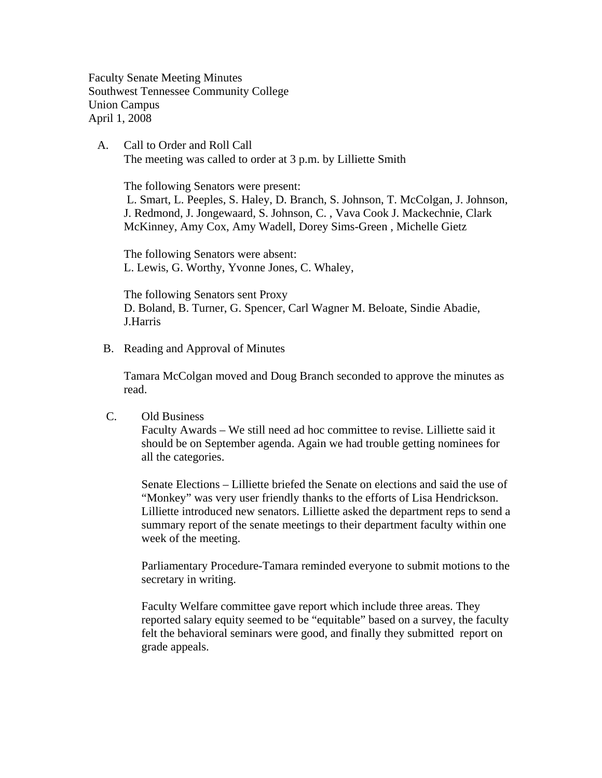Faculty Senate Meeting Minutes Southwest Tennessee Community College Union Campus April 1, 2008

 A. Call to Order and Roll Call The meeting was called to order at 3 p.m. by Lilliette Smith

 The following Senators were present: L. Smart, L. Peeples, S. Haley, D. Branch, S. Johnson, T. McColgan, J. Johnson, J. Redmond, J. Jongewaard, S. Johnson, C. , Vava Cook J. Mackechnie, Clark McKinney, Amy Cox, Amy Wadell, Dorey Sims-Green , Michelle Gietz

The following Senators were absent: L. Lewis, G. Worthy, Yvonne Jones, C. Whaley,

The following Senators sent Proxy D. Boland, B. Turner, G. Spencer, Carl Wagner M. Beloate, Sindie Abadie, J.Harris

B. Reading and Approval of Minutes

Tamara McColgan moved and Doug Branch seconded to approve the minutes as read.

C. Old Business

Faculty Awards – We still need ad hoc committee to revise. Lilliette said it should be on September agenda. Again we had trouble getting nominees for all the categories.

Senate Elections – Lilliette briefed the Senate on elections and said the use of "Monkey" was very user friendly thanks to the efforts of Lisa Hendrickson. Lilliette introduced new senators. Lilliette asked the department reps to send a summary report of the senate meetings to their department faculty within one week of the meeting.

Parliamentary Procedure-Tamara reminded everyone to submit motions to the secretary in writing.

Faculty Welfare committee gave report which include three areas. They reported salary equity seemed to be "equitable" based on a survey, the faculty felt the behavioral seminars were good, and finally they submitted report on grade appeals.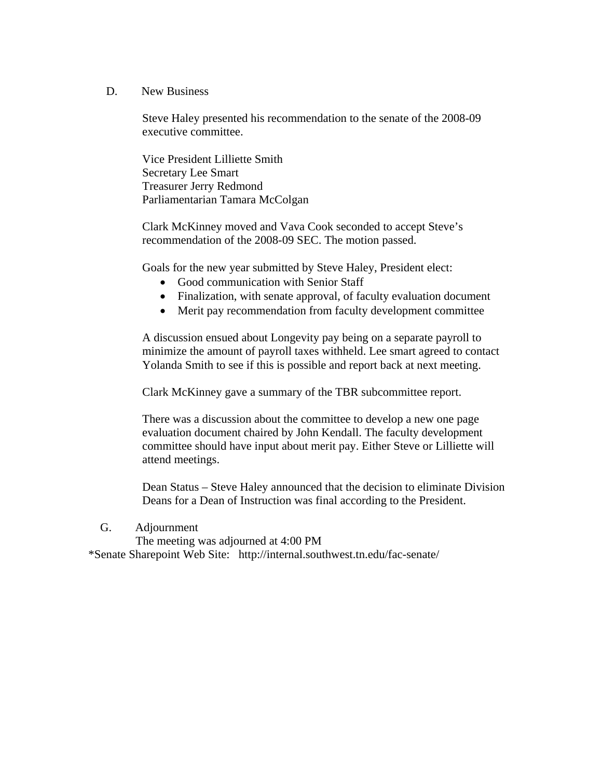D. New Business

Steve Haley presented his recommendation to the senate of the 2008-09 executive committee.

Vice President Lilliette Smith Secretary Lee Smart Treasurer Jerry Redmond Parliamentarian Tamara McColgan

Clark McKinney moved and Vava Cook seconded to accept Steve's recommendation of the 2008-09 SEC. The motion passed.

Goals for the new year submitted by Steve Haley, President elect:

- Good communication with Senior Staff
- Finalization, with senate approval, of faculty evaluation document
- Merit pay recommendation from faculty development committee

A discussion ensued about Longevity pay being on a separate payroll to minimize the amount of payroll taxes withheld. Lee smart agreed to contact Yolanda Smith to see if this is possible and report back at next meeting.

Clark McKinney gave a summary of the TBR subcommittee report.

There was a discussion about the committee to develop a new one page evaluation document chaired by John Kendall. The faculty development committee should have input about merit pay. Either Steve or Lilliette will attend meetings.

Dean Status – Steve Haley announced that the decision to eliminate Division Deans for a Dean of Instruction was final according to the President.

G. Adjournment

 The meeting was adjourned at 4:00 PM \*Senate Sharepoint Web Site: http://internal.southwest.tn.edu/fac-senate/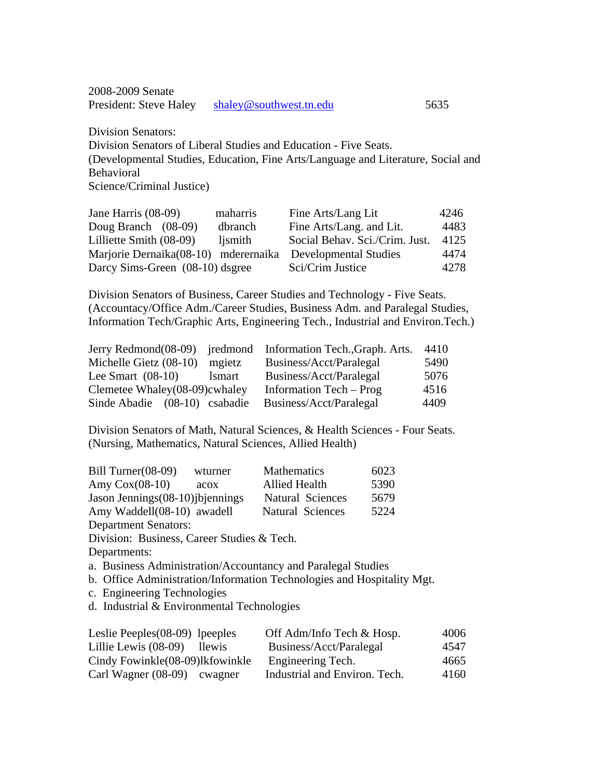2008-2009 Senate President: Steve Haley [shaley@southwest.tn.edu](mailto:shaley@southwest.tn.edu) 5635

Division Senators: Division Senators of Liberal Studies and Education - Five Seats. (Developmental Studies, Education, Fine Arts/Language and Literature, Social and Behavioral Science/Criminal Justice)

| Jane Harris (08-09)                  | maharris | Fine Arts/Lang Lit             | 4246 |
|--------------------------------------|----------|--------------------------------|------|
| Doug Branch $(08-09)$                | dbranch  | Fine Arts/Lang. and Lit.       | 4483 |
| Lilliette Smith (08-09)              | ljsmith  | Social Behav. Sci./Crim. Just. | 4125 |
| Marjorie Dernaika(08-10) mderernaika |          | <b>Developmental Studies</b>   | 4474 |
| Darcy Sims-Green (08-10) dsgree      |          | Sci/Crim Justice               | 4278 |

Division Senators of Business, Career Studies and Technology - Five Seats. (Accountacy/Office Adm./Career Studies, Business Adm. and Paralegal Studies, Information Tech/Graphic Arts, Engineering Tech., Industrial and Environ.Tech.)

|                               |               | Jerry Redmond(08-09) iredmond Information Tech., Graph. Arts. | 4410 |
|-------------------------------|---------------|---------------------------------------------------------------|------|
| Michelle Gietz (08-10)        | mgietz        | Business/Acct/Paralegal                                       | 5490 |
| Lee Smart $(08-10)$           | <i>lsmart</i> | Business/Acct/Paralegal                                       | 5076 |
| Clemetee Whaley(08-09)cwhaley |               | Information Tech – Prog                                       | 4516 |
| Sinde Abadie (08-10) csabadie |               | Business/Acct/Paralegal                                       | 4409 |

Division Senators of Math, Natural Sciences, & Health Sciences - Four Seats. (Nursing, Mathematics, Natural Sciences, Allied Health)

| Bill Turner(08-09)                | wturner | <b>Mathematics</b>   | 6023 |
|-----------------------------------|---------|----------------------|------|
| Amy $Cox(08-10)$                  | acox    | <b>Allied Health</b> | 5390 |
| Jason Jennings (08-10) jbjennings |         | Natural Sciences     | 5679 |
| Amy Waddell(08-10) awadell        |         | Natural Sciences     | 5224 |
|                                   |         |                      |      |

Department Senators:

Division: Business, Career Studies & Tech.

Departments:

a. Business Administration/Accountancy and Paralegal Studies

b. Office Administration/Information Technologies and Hospitality Mgt.

c. Engineering Technologies

d. Industrial & Environmental Technologies

| Leslie Peeples $(08-09)$ lpeeples | Off Adm/Info Tech & Hosp.     | 4006 |
|-----------------------------------|-------------------------------|------|
| Lillie Lewis $(08-09)$ llewis     | Business/Acct/Paralegal       | 4547 |
| Cindy Fowinkle (08-09)lkfowinkle  | Engineering Tech.             | 4665 |
| Carl Wagner $(08-09)$ cwagner     | Industrial and Environ. Tech. | 4160 |